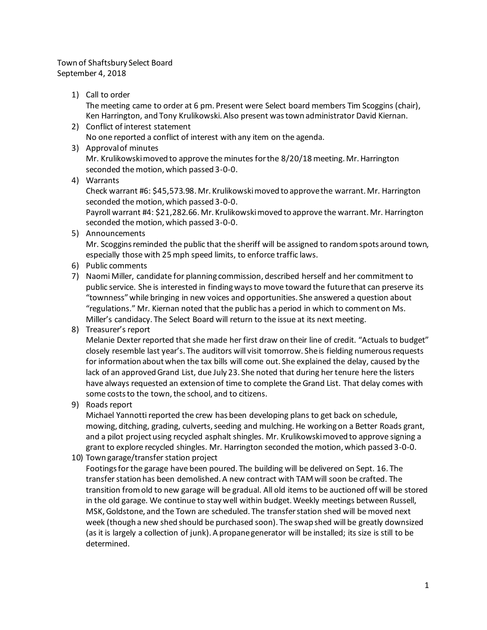## Town of Shaftsbury Select Board September 4, 2018

1) Call to order

The meeting came to order at 6 pm. Present were Select board members Tim Scoggins (chair), Ken Harrington, and Tony Krulikowski. Also present was town administrator David Kiernan.

- 2) Conflict of interest statement No one reported a conflict of interest with any item on the agenda.
- 3) Approval of minutes Mr. Krulikowski moved to approve the minutes for the 8/20/18 meeting. Mr. Harrington seconded the motion, which passed 3-0-0.
- 4) Warrants

Check warrant #6: \$45,573.98. Mr. Krulikowski moved to approve the warrant. Mr. Harrington seconded the motion, which passed 3-0-0.

Payroll warrant #4: \$21,282.66. Mr. Krulikowski moved to approve the warrant. Mr. Harrington seconded the motion, which passed 3-0-0.

5) Announcements

Mr. Scoggins reminded the public that the sheriff will be assigned to random spots around town, especially those with 25 mph speed limits, to enforce traffic laws.

- 6) Public comments
- 7) Naomi Miller, candidate for planning commission, described herself and her commitment to public service. She is interested in finding ways to move toward the future that can preserve its "townness" while bringing in new voices and opportunities. She answered a question about "regulations." Mr. Kiernan noted that the public has a period in which to comment on Ms. Miller's candidacy. The Select Board will return to the issue at its next meeting.
- 8) Treasurer's report

Melanie Dexter reported that she made her first draw on their line of credit. "Actuals to budget" closely resemble last year's. The auditors will visit tomorrow. She is fielding numerous requests for information about when the tax bills will come out. She explained the delay, caused by the lack of an approved Grand List, due July 23. She noted that during her tenure here the listers have always requested an extension of time to complete the Grand List. That delay comes with some costs to the town, the school, and to citizens.

9) Roads report

Michael Yannotti reported the crew has been developing plans to get back on schedule, mowing, ditching, grading, culverts, seeding and mulching. He working on a Better Roads grant, and a pilot project using recycled asphalt shingles. Mr. Krulikowski moved to approve signing a grant to explore recycled shingles. Mr. Harrington seconded the motion, which passed 3-0-0.

10) Town garage/transfer station project

Footings for the garage have been poured. The building will be delivered on Sept. 16. The transfer station has been demolished. A new contract with TAM will soon be crafted. The transition from old to new garage will be gradual. All old items to be auctioned off will be stored in the old garage. We continue to stay well within budget. Weekly meetings between Russell, MSK, Goldstone, and the Town are scheduled. The transfer station shed will be moved next week (though a new shed should be purchased soon). The swap shed will be greatly downsized (as it is largely a collection of junk). A propane generator will be installed; its size is still to be determined.